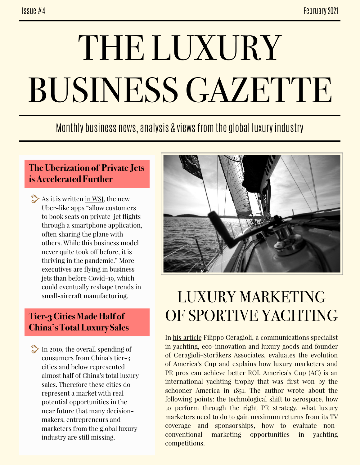# THE LUXURY BUSINESS GAZETTE

Monthly business news, analysis & views from the global luxury industry

### **The Uberization of Private Jets is Accelerated Further**

As it is written [in WSJ,](https://www.wsj.com/amp/articles/the-uberization-of-private-jets-may-be-here-to-stay-11613388721) the new Uber-like apps "allow customers to book seats on private-jet flights through a smartphone application, often sharing the plane with others. While this business model never quite took off before, it is thriving in the pandemic." More executives are flying in business jets than before Covid-19, which could eventually reshape trends in small-aircraft manufacturing.

### **Tier-3 Cities Made Half of China's Total Luxury Sales**

In 2019, the overall spending of consumers from China's tier-3 cities and below represented almost half of China's total luxury sales. Therefore [these cities](https://jingdaily.com/china-lower-tier-cities-luxury-marketing-dior/) do represent a market with real potential opportunities in the near future that many decisionmakers, entrepreneurs and marketers from the global luxury industry are still missing.



# LUXURY MARKETING OF SPORTIVE YACHTING

In [his article](https://www.forbes.com/sites/forbescommunicationscouncil/2021/02/09/americas-cup-then-and-now-evaluating-its-evolution-and-how-ac-marketers-can-achieve-better-roi/?sh=5e2b549e31b7) Filippo Ceragioli, a communications specialist in yachting, eco-innovation and luxury goods and founder of Ceragioli-Storåkers Associates, evaluates the evolution of America's Cup and explains how luxury marketers and PR pros can achieve better ROI. America's Cup (AC) is an international yachting trophy that was first won by the schooner America in 1851. The author wrote about the following points: the technological shift to aerospace, how to perform through the right PR strategy, what luxury marketers need to do to gain maximum returns from its TV coverage and sponsorships, how to evaluate nonconventional marketing opportunities in yachting competitions.